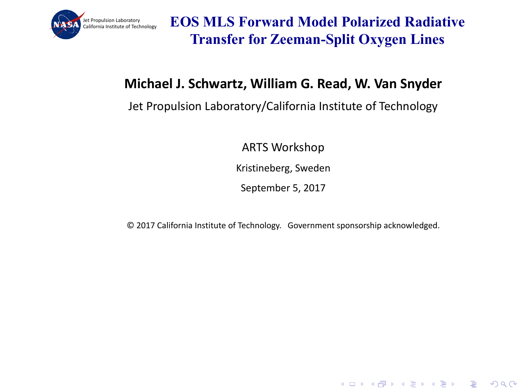

**EOS MLS Forward Model Polarized Radiative Transfer for Zeeman-Split Oxygen Lines**

#### **Michael J. Schwartz, William G. Read, W. Van Snyder**

#### Jet Propulsion Laboratory/California Institute of Technology

ARTS Workshop 

Kristineberg, Sweden

September 5, 2017

© 2017 California Institute of Technology. Government sponsorship acknowledged.

KEL KALEY KEY E NAG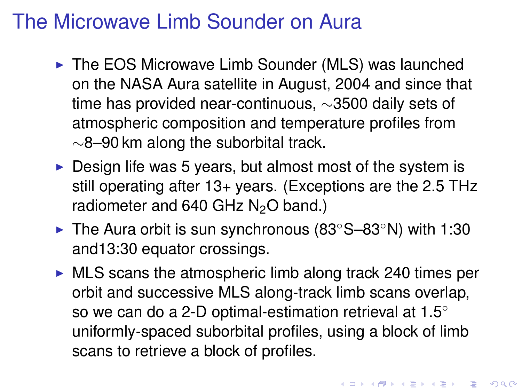# The Microwave Limb Sounder on Aura

- $\triangleright$  The EOS Microwave Limb Sounder (MLS) was launched on the NASA Aura satellite in August, 2004 and since that time has provided near-continuous, ∼3500 daily sets of atmospheric composition and temperature profiles from ∼8–90 km along the suborbital track.
- $\triangleright$  Design life was 5 years, but almost most of the system is still operating after 13+ years. (Exceptions are the 2.5 THz radiometer and  $640$  GHz  $N<sub>2</sub>O$  band.)
- ► The Aura orbit is sun synchronous (83°S–83°N) with 1:30 and13:30 equator crossings.
- $\triangleright$  MLS scans the atmospheric limb along track 240 times per orbit and successive MLS along-track limb scans overlap, so we can do a 2-D optimal-estimation retrieval at 1.5° uniformly-spaced suborbital profiles, using a block of limb scans to retrieve a block of profiles.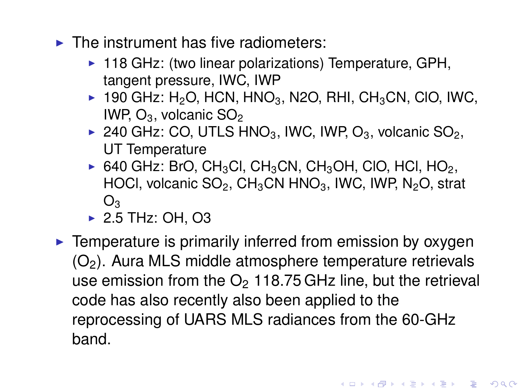- $\triangleright$  The instrument has five radiometers:
	- $\triangleright$  118 GHz: (two linear polarizations) Temperature, GPH, tangent pressure, IWC, IWP
	- $\triangleright$  190 GHz: H<sub>2</sub>O, HCN, HNO<sub>3</sub>, N2O, RHI, CH<sub>3</sub>CN, CIO, IWC, IWP,  $O_3$ , volcanic  $SO_2$
	- ▶ 240 GHz: CO, UTLS HNO<sub>3</sub>, IWC, IWP, O<sub>3</sub>, volcanic SO<sub>2</sub>, UT Temperature
	- ▶ 640 GHz: BrO, CH<sub>3</sub>Cl, CH<sub>3</sub>CN, CH<sub>3</sub>OH, ClO, HCl, HO<sub>2</sub>, HOCI, volcanic  $SO_2$ , CH<sub>3</sub>CN HNO<sub>3</sub>, IWC, IWP, N<sub>2</sub>O, strat  $O<sub>3</sub>$
	- $\blacktriangleright$  2.5 THz: OH, O3
- $\blacktriangleright$  Temperature is primarily inferred from emission by oxygen  $(O<sub>2</sub>)$ . Aura MLS middle atmosphere temperature retrievals use emission from the  $O<sub>2</sub>$  118.75 GHz line, but the retrieval code has also recently also been applied to the reprocessing of UARS MLS radiances from the 60-GHz band.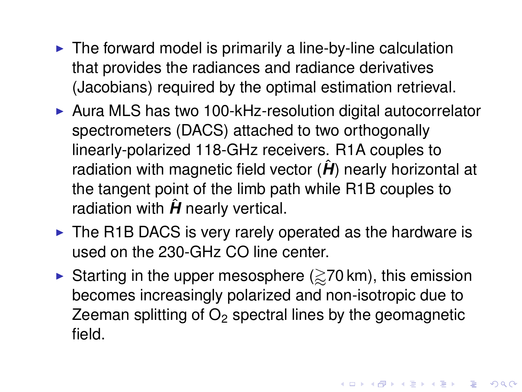- $\blacktriangleright$  The forward model is primarily a line-by-line calculation that provides the radiances and radiance derivatives (Jacobians) required by the optimal estimation retrieval.
- $\triangleright$  Aura MLS has two 100-kHz-resolution digital autocorrelator spectrometers (DACS) attached to two orthogonally linearly-polarized 118-GHz receivers. R1A couples to radiation with magnetic field vector  $(\hat{H})$  nearly horizontal at the tangent point of the limb path while R1B couples to radiation with  $\hat{H}$  nearly vertical.
- $\triangleright$  The R1B DACS is very rarely operated as the hardware is used on the 230-GHz CO line center.
- Starting in the upper mesosphere  $(\gtrsim 70 \text{ km})$ , this emission becomes increasingly polarized and non-isotropic due to Zeeman splitting of  $O<sub>2</sub>$  spectral lines by the geomagnetic field.

**KORK ERKEY EL POLO**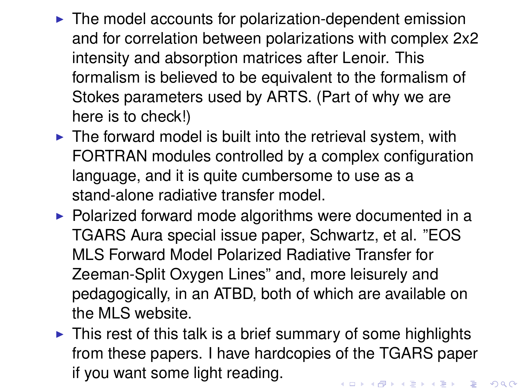- $\blacktriangleright$  The model accounts for polarization-dependent emission and for correlation between polarizations with complex 2x2 intensity and absorption matrices after Lenoir. This formalism is believed to be equivalent to the formalism of Stokes parameters used by ARTS. (Part of why we are here is to check!)
- $\triangleright$  The forward model is built into the retrieval system, with FORTRAN modules controlled by a complex configuration language, and it is quite cumbersome to use as a stand-alone radiative transfer model.
- $\triangleright$  Polarized forward mode algorithms were documented in a TGARS Aura special issue paper, Schwartz, et al. "EOS MLS Forward Model Polarized Radiative Transfer for Zeeman-Split Oxygen Lines" and, more leisurely and pedagogically, in an ATBD, both of which are available on the MLS website.
- $\triangleright$  This rest of this talk is a brief summary of some highlights from these papers. I have hardcopies of the TGARS paper if you want some light reading.KID KA LIKI KENYE DI DAG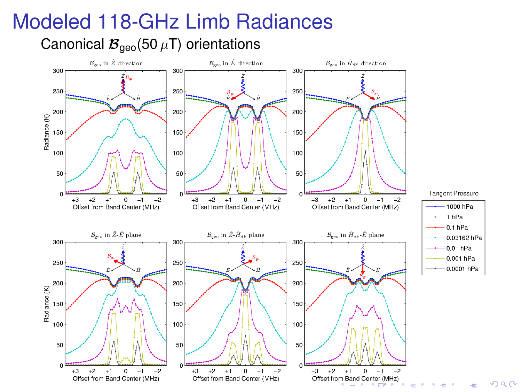#### Modeled 118-GHz Limb Radiances

Canonical  $\mathcal{B}_{\text{geo}}(50 \,\mu\text{T})$  orientations

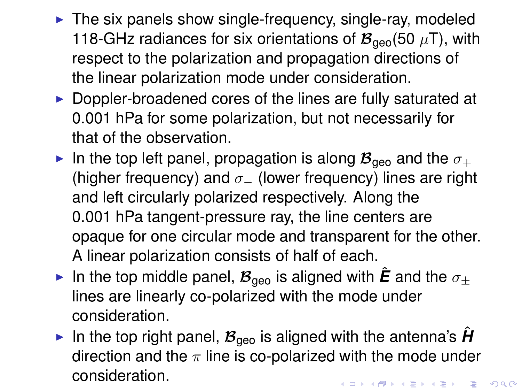- $\triangleright$  The six panels show single-frequency, single-ray, modeled 118-GHz radiances for six orientations of  $\mathcal{B}_{\text{geo}}(50 \mu T)$ , with respect to the polarization and propagation directions of the linear polarization mode under consideration.
- $\triangleright$  Doppler-broadened cores of the lines are fully saturated at 0.001 hPa for some polarization, but not necessarily for that of the observation.
- In the top left panel, propagation is along  $\mathcal{B}_{\text{geo}}$  and the  $\sigma_{+}$ (higher frequency) and  $\sigma$  (lower frequency) lines are right and left circularly polarized respectively. Along the 0.001 hPa tangent-pressure ray, the line centers are opaque for one circular mode and transparent for the other. A linear polarization consists of half of each.
- In the top middle panel,  $\mathcal{B}_{\text{geo}}$  is aligned with  $\hat{E}$  and the  $\sigma_{+}$ lines are linearly co-polarized with the mode under consideration.
- In the top right panel,  $B_{\text{geo}}$  is aligned with the antenna's **H** direction and the  $\pi$  line is co-polarized with the mode under consideration.**YO A GERRITH A BY A GAR**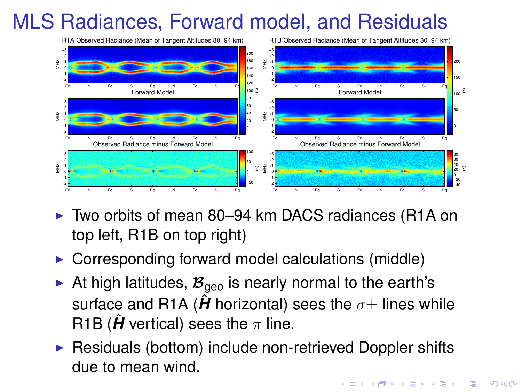# MLS Radiances, Forward model, and Residuals



- ► Two orbits of mean 80–94 km DACS radiances (R1A on top left, R1B on top right)
- $\triangleright$  Corresponding forward model calculations (middle)
- At high latitudes,  $\mathcal{B}_{\text{geo}}$  is nearly normal to the earth's surface and R1A ( $\hat{H}$  horizontal) sees the  $\sigma\pm$  lines while R1B ( $\hat{H}$  vertical) sees the  $\pi$  line.
- $\triangleright$  Residuals (bottom) include non-retrieved Doppler shifts due to mean wind.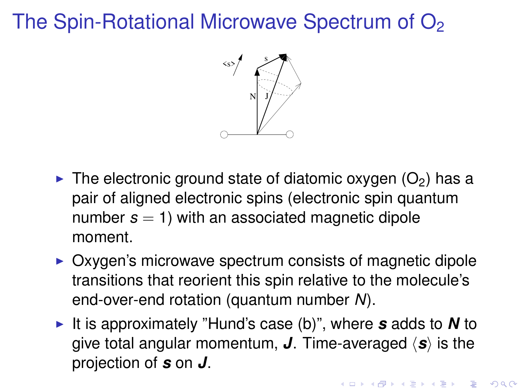# The Spin-Rotational Microwave Spectrum of  $O<sub>2</sub>$



- $\triangleright$  The electronic ground state of diatomic oxygen (O<sub>2</sub>) has a pair of aligned electronic spins (electronic spin quantum number  $s = 1$ ) with an associated magnetic dipole moment.
- $\triangleright$  Oxygen's microwave spectrum consists of magnetic dipole transitions that reorient this spin relative to the molecule's end-over-end rotation (quantum number *N*).
- ► It is approximately "Hund's case (b)", where **s** adds to **N** to give total angular momentum, *J*. Time-averaged  $\langle s \rangle$  is the projection of *s* on *J*.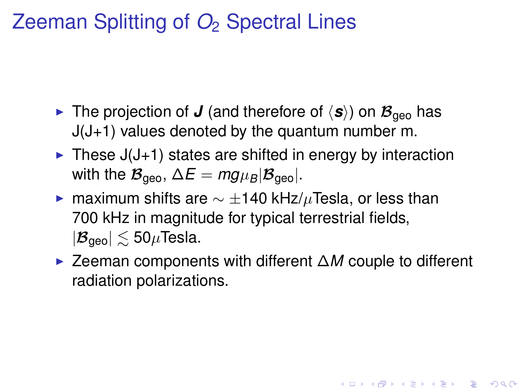# Zeeman Splitting of *O*<sup>2</sup> Spectral Lines

- In The projection of *J* (and therefore of  $\langle s \rangle$ ) on  $\mathcal{B}_{\text{qee}}$  has J(J+1) values denoted by the quantum number m.
- $\triangleright$  These J(J+1) states are shifted in energy by interaction with the  $\mathcal{B}_{\text{geo}}$ ,  $\Delta E = mg\mu_B|\mathcal{B}_{\text{geo}}|$ .
- ► maximum shifts are  $\sim \pm 140$  kHz/ $\mu$ Tesla, or less than 700 kHz in magnitude for typical terrestrial fields,  $|\mathcal{B}_{\text{geo}}| \lesssim 50 \mu$ Tesla.
- <sup>I</sup> Zeeman components with different ∆*M* couple to different radiation polarizations.

**KORKAR KERKER E VOOR**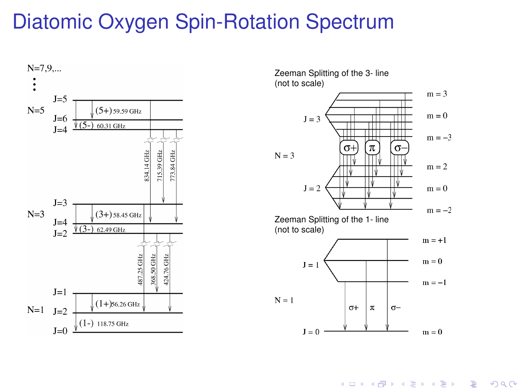# Diatomic Oxygen Spin-Rotation Spectrum



Zeeman Splitting of the 3- line (not to scale)



 $\left\{ \begin{array}{ccc} 1 & 0 & 0 \\ 0 & 1 & 0 \end{array} \right.$  $\Rightarrow$  $2990$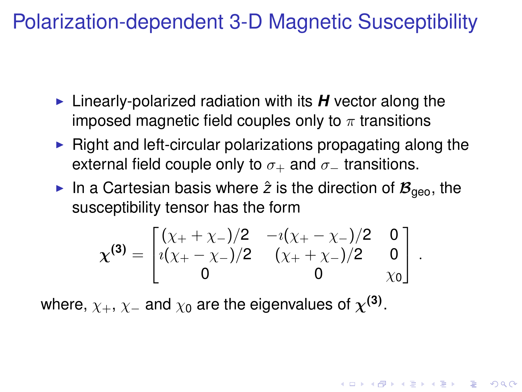# Polarization-dependent 3-D Magnetic Susceptibility

- ► Linearly-polarized radiation with its *H* vector along the imposed magnetic field couples only to  $\pi$  transitions
- $\blacktriangleright$  Right and left-circular polarizations propagating along the external field couple only to  $\sigma_+$  and  $\sigma_-$  transitions.
- In a Cartesian basis where  $\hat{z}$  is the direction of  $\mathcal{B}_{\text{q}e0}$ , the susceptibility tensor has the form

$$
\chi^{(3)} = \begin{bmatrix} (\chi_+ + \chi_-)/2 & -\iota(\chi_+ - \chi_-)/2 & 0 \\ \iota(\chi_+ - \chi_-)/2 & (\chi_+ + \chi_-)/2 & 0 \\ 0 & 0 & \chi_0 \end{bmatrix}.
$$

**KORKAR KERKER E VOOR** 

where,  $\chi_+,\chi_-$  and  $\chi_0$  are the eigenvalues of  $\chi^{(\mathbf{3})}.$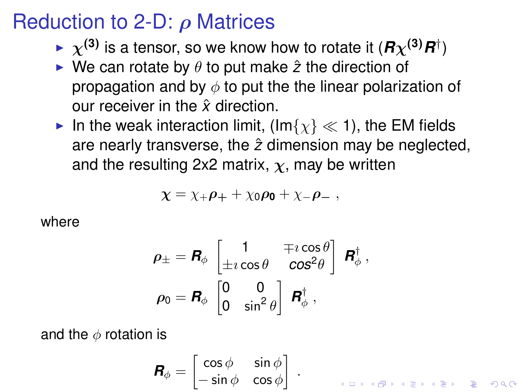### Reduction to 2-D:  $\rho$  Matrices

- $\blacktriangleright \ \chi^{(3)}$  is a tensor, so we know how to rotate it  $(\bm{R}\chi^{(3)}\bm{R}^\dagger)$
- $\triangleright$  We can rotate by  $\theta$  to put make  $\hat{z}$  the direction of propagation and by  $\phi$  to put the the linear polarization of our receiver in the *x*ˆ direction.
- In the weak interaction limit, (Im $\{ \chi \} \ll 1$ ), the EM fields are nearly transverse, the  $\hat{z}$  dimension may be neglected, and the resulting 2x2 matrix,  $\chi$ , may be written

$$
\chi = \chi_+ \rho_+ + \chi_0 \rho_0 + \chi_- \rho_- \ ,
$$

where

$$
\rho_{\pm} = \mathbf{R}_{\phi} \begin{bmatrix} 1 & \mp i \cos \theta \\ \pm i \cos \theta & \cos^2 \theta \end{bmatrix} \mathbf{R}_{\phi}^{\dagger},
$$

$$
\rho_{0} = \mathbf{R}_{\phi} \begin{bmatrix} 0 & 0 \\ 0 & \sin^2 \theta \end{bmatrix} \mathbf{R}_{\phi}^{\dagger},
$$

and the  $\phi$  rotation is

$$
\mathbf{R}_{\phi} = \begin{bmatrix} \cos \phi & \sin \phi \\ -\sin \phi & \cos \phi \end{bmatrix} .
$$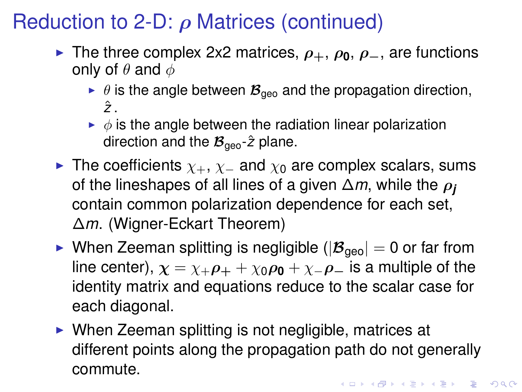# Reduction to 2-D:  $\rho$  Matrices (continued)

- **Figure 1** The three complex 2x2 matrices,  $\rho_+$ ,  $\rho_0$ ,  $\rho_-$ , are functions only of  $\theta$  and  $\phi$ 
	- $\blacktriangleright$   $\theta$  is the angle between  $\mathcal{B}_{\text{geo}}$  and the propagation direction,  $\hat{z}$
	- $\rightarrow \phi$  is the angle between the radiation linear polarization direction and the  $\mathcal{B}_{\text{geo}}$ - $\hat{z}$  plane.
- ► The coefficients  $\chi_+, \chi_-$  and  $\chi_0$  are complex scalars, sums of the lineshapes of all lines of a given ∆*m*, while the ρ*<sup>j</sup>* contain common polarization dependence for each set, ∆*m*. (Wigner-Eckart Theorem)
- $\triangleright$  When Zeeman splitting is negligible ( $|\mathcal{B}_{\text{geo}}| = 0$  or far from line center),  $\chi = \chi_+ \rho_+ + \chi_0 \rho_0 + \chi_- \rho_-$  is a multiple of the identity matrix and equations reduce to the scalar case for each diagonal.
- $\triangleright$  When Zeeman splitting is not negligible, matrices at different points along the propagation path do not generally commute.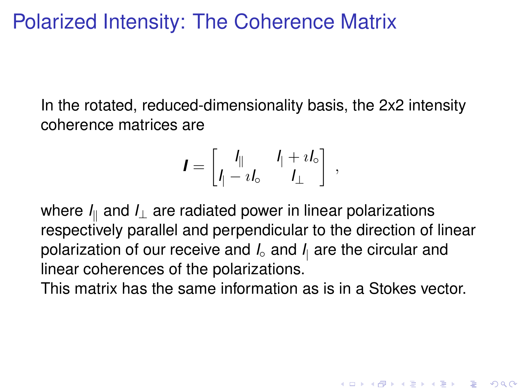## Polarized Intensity: The Coherence Matrix

In the rotated, reduced-dimensionality basis, the 2x2 intensity coherence matrices are

$$
\boldsymbol{I} = \begin{bmatrix} I_{\parallel} & I_{\parallel} + iI_{\circ} \\ I_{\parallel} - iI_{\circ} & I_{\perp} \end{bmatrix} ,
$$

where  $I_{\parallel}$  and  $I_{\perp}$  are radiated power in linear polarizations respectively parallel and perpendicular to the direction of linear polarization of our receive and *I*◦ and *I*<sup>|</sup> are the circular and linear coherences of the polarizations.

This matrix has the same information as is in a Stokes vector.

**KORKAR KERKER E VOOR**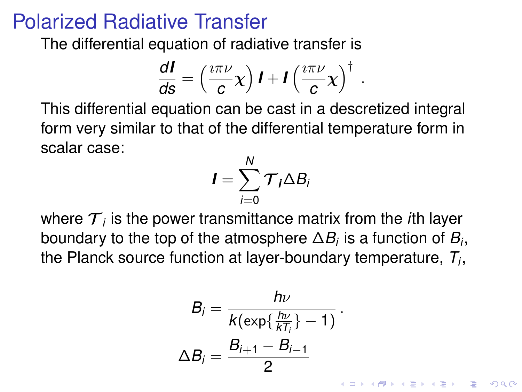#### Polarized Radiative Transfer

The differential equation of radiative transfer is

$$
\frac{dI}{ds} = \left(\frac{i\pi\nu}{c}\chi\right)I + I\left(\frac{i\pi\nu}{c}\chi\right)^{\dagger}.
$$

This differential equation can be cast in a descretized integral form very similar to that of the differential temperature form in scalar case:

$$
I=\sum_{i=0}^N \mathcal{T}_i \Delta B_i
$$

where  ${\cal T}_i$  is the power transmittance matrix from the *i*th layer boundary to the top of the atmosphere  $\Delta B_i$  is a function of  $B_i,$ the Planck source function at layer-boundary temperature, *T<sup>i</sup>* ,

$$
B_i = \frac{h\nu}{k(\exp\{\frac{h\nu}{kT_i}\} - 1)}.
$$

$$
\Delta B_i = \frac{B_{i+1} - B_{i-1}}{2}
$$

.<br>◆ ロ ▶ ◆ @ ▶ ◆ 경 ▶ → 경 ▶ │ 경 │ ◇ 9,9,0°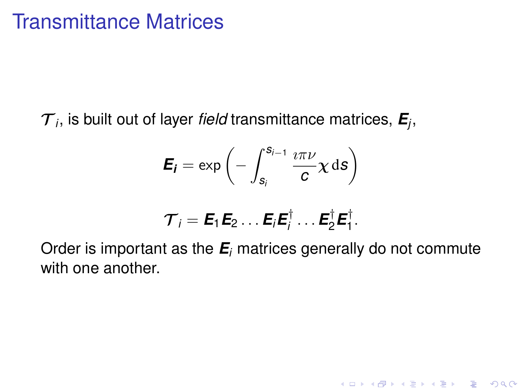${\cal T}_i$ , is built out of layer *field* transmittance matrices,  ${\bm E}_{\!j}$ ,

$$
\boldsymbol{E_{i}} = \exp \left(-\int_{s_{i}}^{s_{i-1}} \frac{i \pi \nu}{c} \chi \, \mathrm{d} s\right)
$$

$$
\mathcal{T}_i = \boldsymbol{E}_1 \boldsymbol{E}_2 \ldots \boldsymbol{E}_i \boldsymbol{E}_i^\dagger \ldots \boldsymbol{E}_2^\dagger \boldsymbol{E}_1^\dagger.
$$

Order is important as the *E<sup>i</sup>* matrices generally do not commute with one another.

K ロ ▶ K @ ▶ K 할 ▶ K 할 ▶ 이 할 → 9 Q Q\*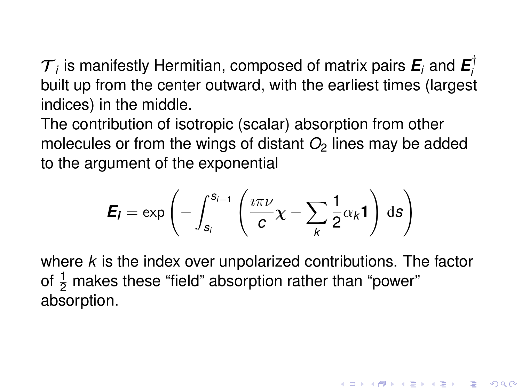${\cal T}_i$  is manifestly Hermitian, composed of matrix pairs  ${\bm E}_i$  and  ${\bm E}_i^\dagger$ *i* built up from the center outward, with the earliest times (largest indices) in the middle.

The contribution of isotropic (scalar) absorption from other molecules or from the wings of distant  $O<sub>2</sub>$  lines may be added to the argument of the exponential

$$
\boldsymbol{E}_{\boldsymbol{i}} = \exp \left(-\int_{s_i}^{s_{i-1}} \left(\frac{\imath \pi \nu}{c} \chi - \sum_{k} \frac{1}{2} \alpha_k \boldsymbol{1}\right) \, \mathrm{d}s\right)
$$

where *k* is the index over unpolarized contributions. The factor of  $\frac{1}{2}$  makes these "field" absorption rather than "power" absorption.

**KORK ERKEY EL POLO**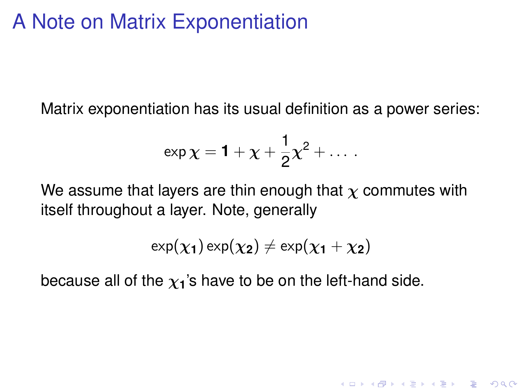### A Note on Matrix Exponentiation

Matrix exponentiation has its usual definition as a power series:

$$
\exp\chi = 1 + \chi + \frac{1}{2}\chi^2 + \dots\,.
$$

We assume that layers are thin enough that  $\chi$  commutes with itself throughout a layer. Note, generally

$$
\text{exp}(\chi_1)\,\text{exp}(\chi_2)\neq \text{exp}(\chi_1+\chi_2)
$$

**KORK ERKER ADAM ADA** 

because all of the  $\chi_1$ 's have to be on the left-hand side.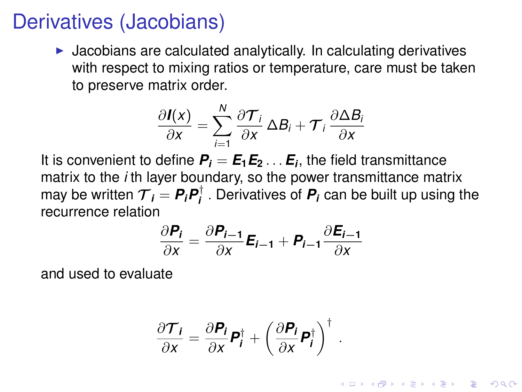#### Derivatives (Jacobians)

 $\blacktriangleright$  Jacobians are calculated analytically. In calculating derivatives with respect to mixing ratios or temperature, care must be taken to preserve matrix order.

$$
\frac{\partial I(x)}{\partial x} = \sum_{i=1}^{N} \frac{\partial \mathcal{T}_i}{\partial x} \Delta B_i + \mathcal{T}_i \frac{\partial \Delta B_i}{\partial x}
$$

It is convenient to define  $P_i = E_1E_2\ldots E_i$ , the field transmittance matrix to the *i* th layer boundary, so the power transmittance matrix may be written  $\mathcal{T}_i = \boldsymbol{P}_i \boldsymbol{P}_i^{\dagger}$ *i* . Derivatives of *P<sup>i</sup>* can be built up using the recurrence relation

$$
\frac{\partial P_i}{\partial x} = \frac{\partial P_{i-1}}{\partial x} E_{i-1} + P_{i-1} \frac{\partial E_{i-1}}{\partial x}
$$

and used to evaluate

$$
\frac{\partial \mathcal{T}_i}{\partial x} = \frac{\partial P_i}{\partial x} \mathbf{P}_i^{\dagger} + \left(\frac{\partial P_i}{\partial x} \mathbf{P}_i^{\dagger}\right)^{\dagger}.
$$

**KORKAR KERKER E VOOR**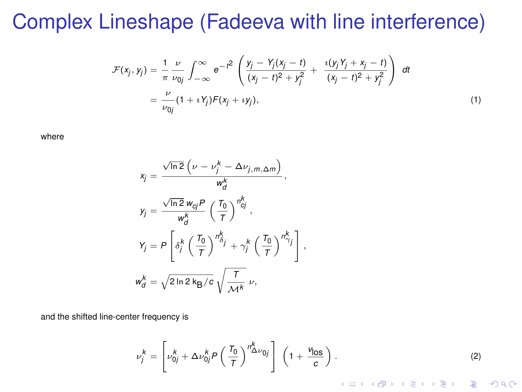#### Complex Lineshape (Fadeeva with line interference)

$$
\mathcal{F}(x_j, y_j) = \frac{1}{\pi} \frac{\nu}{\nu_{0j}} \int_{-\infty}^{\infty} e^{-t^2} \left( \frac{y_j - Y_j(x_j - t)}{(x_j - t)^2 + y_j^2} + \frac{i(y_j Y_j + x_j - t)}{(x_j - t)^2 + y_j^2} \right) dt
$$
  
=  $\frac{\nu}{\nu_{0j}} (1 + iY_j)F(x_j + iy_j),$  (1)

where

$$
x_j = \frac{\sqrt{\ln 2} \left( \nu - \nu_j^k - \Delta \nu_{j,m,\Delta m} \right)}{w_d^k},
$$
  
\n
$$
y_j = \frac{\sqrt{\ln 2} w_{cj} P}{w_{cj}^k} \left( \frac{T_0}{T} \right)^{n_{cj}^k},
$$
  
\n
$$
Y_j = P \left[ \delta_j^k \left( \frac{T_0}{T} \right)^{n_{cj}^k} + \gamma_j^k \left( \frac{T_0}{T} \right)^{n_{cj}^k} \right],
$$
  
\n
$$
w_{cj}^k = \sqrt{2 \ln 2 k_B / c} \sqrt{\frac{T}{\mathcal{M}^k}} \nu,
$$

and the shifted line-center frequency is

$$
\nu_j^k = \left[\nu_{0j}^k + \Delta \nu_{0j}^k P\left(\frac{T_0}{T}\right)^{n_{\Delta}^k \nu_{0j}}\right] \left(1 + \frac{\nu_{0s}}{c}\right). \tag{2}
$$